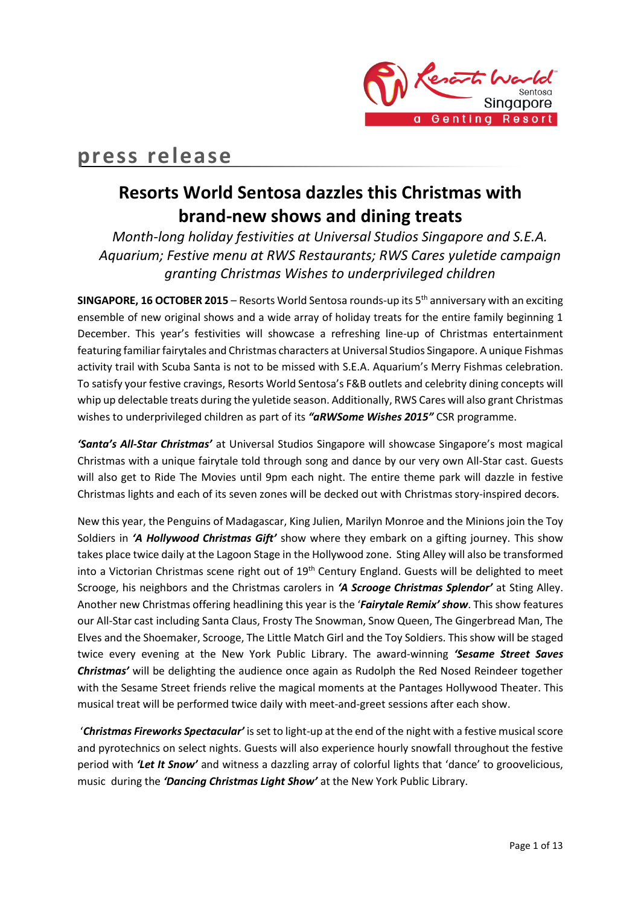

# **press release**

# **Resorts World Sentosa dazzles this Christmas with brand-new shows and dining treats**

*Month-long holiday festivities at Universal Studios Singapore and S.E.A. Aquarium; Festive menu at RWS Restaurants; RWS Cares yuletide campaign granting Christmas Wishes to underprivileged children*

**SINGAPORE, 16 OCTOBER 2015** – Resorts World Sentosa rounds-up its 5th anniversary with an exciting ensemble of new original shows and a wide array of holiday treats for the entire family beginning 1 December. This year's festivities will showcase a refreshing line-up of Christmas entertainment featuring familiar fairytales and Christmas characters at Universal Studios Singapore. A unique Fishmas activity trail with Scuba Santa is not to be missed with S.E.A. Aquarium's Merry Fishmas celebration. To satisfy your festive cravings, Resorts World Sentosa's F&B outlets and celebrity dining concepts will whip up delectable treats during the yuletide season. Additionally, RWS Cares will also grant Christmas wishes to underprivileged children as part of its *"aRWSome Wishes 2015"* CSR programme.

*'Santa's All-Star Christmas'* at Universal Studios Singapore will showcase Singapore's most magical Christmas with a unique fairytale told through song and dance by our very own All-Star cast. Guests will also get to Ride The Movies until 9pm each night. The entire theme park will dazzle in festive Christmas lights and each of its seven zones will be decked out with Christmas story-inspired decors.

New this year, the Penguins of Madagascar, King Julien, Marilyn Monroe and the Minions join the Toy Soldiers in *'A Hollywood Christmas Gift'* show where they embark on a gifting journey. This show takes place twice daily at the Lagoon Stage in the Hollywood zone. Sting Alley will also be transformed into a Victorian Christmas scene right out of 19<sup>th</sup> Century England. Guests will be delighted to meet Scrooge, his neighbors and the Christmas carolers in *'A Scrooge Christmas Splendor'* at Sting Alley. Another new Christmas offering headlining this year is the '*Fairytale Remix' show*. This show features our All-Star cast including Santa Claus, Frosty The Snowman, Snow Queen, The Gingerbread Man, The Elves and the Shoemaker, Scrooge, The Little Match Girl and the Toy Soldiers. This show will be staged twice every evening at the New York Public Library. The award-winning *'Sesame Street Saves Christmas'* will be delighting the audience once again as Rudolph the Red Nosed Reindeer together with the Sesame Street friends relive the magical moments at the Pantages Hollywood Theater. This musical treat will be performed twice daily with meet-and-greet sessions after each show.

'*Christmas Fireworks Spectacular'* is set to light-up at the end of the night with a festive musical score and pyrotechnics on select nights. Guests will also experience hourly snowfall throughout the festive period with *'Let It Snow'* and witness a dazzling array of colorful lights that 'dance' to groovelicious, music during the *'Dancing Christmas Light Show'* at the New York Public Library.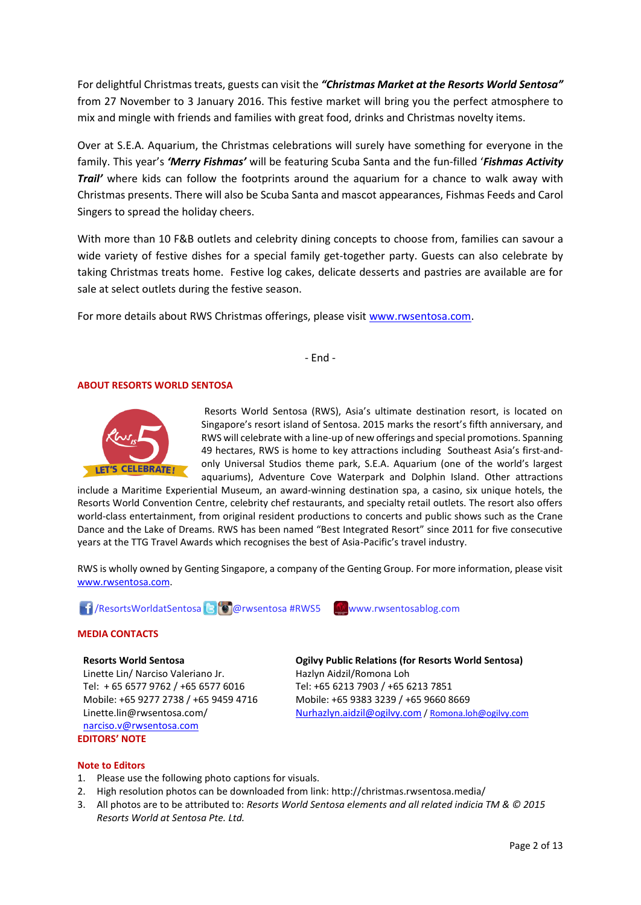For delightful Christmas treats, guests can visit the *"Christmas Market at the Resorts World Sentosa"* from 27 November to 3 January 2016. This festive market will bring you the perfect atmosphere to mix and mingle with friends and families with great food, drinks and Christmas novelty items.

Over at S.E.A. Aquarium, the Christmas celebrations will surely have something for everyone in the family. This year's *'Merry Fishmas'* will be featuring Scuba Santa and the fun-filled '*Fishmas Activity Trail'* where kids can follow the footprints around the aquarium for a chance to walk away with Christmas presents. There will also be Scuba Santa and mascot appearances, Fishmas Feeds and Carol Singers to spread the holiday cheers.

With more than 10 F&B outlets and celebrity dining concepts to choose from, families can savour a wide variety of festive dishes for a special family get-together party. Guests can also celebrate by taking Christmas treats home. Festive log cakes, delicate desserts and pastries are available are for sale at select outlets during the festive season.

For more details about RWS Christmas offerings, please visit [www.rwsentosa.com.](http://www.rwsentosa.com/)

- End -

## **ABOUT RESORTS WORLD SENTOSA**



Resorts World Sentosa (RWS), Asia's ultimate destination resort, is located on Singapore's resort island of Sentosa. 2015 marks the resort's fifth anniversary, and RWS will celebrate with a line-up of new offerings and special promotions. Spanning 49 hectares, RWS is home to key attractions including Southeast Asia's first-andonly Universal Studios theme park, S.E.A. Aquarium (one of the world's largest aquariums), Adventure Cove Waterpark and Dolphin Island. Other attractions

include a Maritime Experiential Museum, an award-winning destination spa, a casino, six unique hotels, the Resorts World Convention Centre, celebrity chef restaurants, and specialty retail outlets. The resort also offers world-class entertainment, from original resident productions to concerts and public shows such as the Crane Dance and the Lake of Dreams. RWS has been named "Best Integrated Resort" since 2011 for five consecutive years at the TTG Travel Awards which recognises the best of Asia-Pacific's travel industry.

RWS is wholly owned by Genting Singapore, a company of the Genting Group. For more information, please visit [www.rwsentosa.com.](http://www.rwsentosa.com/)

**1** ResortsWorldatSentosa **& @**rwsentosa #RWS5 www.rwsentosablog.com



#### **Resorts World Sentosa**

Linette Lin/ Narciso Valeriano Jr. Tel: + 65 6577 9762 / +65 6577 6016 Mobile: +65 9277 2738 / +65 9459 4716 Linette.lin@rwsentosa.com/ [narciso.v@rwsentosa.com](mailto:narciso.v@rwsentosa.com) **EDITORS' NOTE**

**Ogilvy Public Relations (for Resorts World Sentosa)** Hazlyn Aidzil/Romona Loh Tel: +65 6213 7903 / +65 6213 7851 Mobile: +65 9383 3239 / +65 9660 8669 [Nurhazlyn.aidzil@ogilvy.com](mailto:Nurhazlyn.aidzil@ogilvy.com) [/ Romona.loh@ogilvy.com](mailto:Romona.loh@ogilvy.com)

### **Note to Editors**

- 1. Please use the following photo captions for visuals.
- 2. High resolution photos can be downloaded from link: http://christmas.rwsentosa.media/
- 3. All photos are to be attributed to: *Resorts World Sentosa elements and all related indicia TM & © 2015 Resorts World at Sentosa Pte. Ltd.*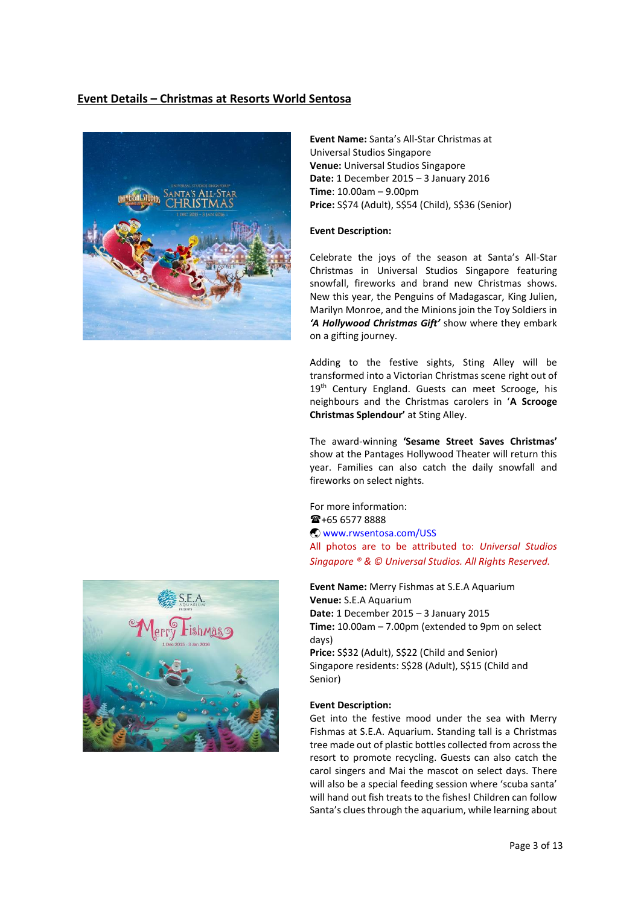## **Event Details – Christmas at Resorts World Sentosa**



**Event Name:** Santa's All-Star Christmas at Universal Studios Singapore **Venue:** Universal Studios Singapore **Date:** 1 December 2015 – 3 January 2016 **Time**: 10.00am – 9.00pm **Price:** S\$74 (Adult), S\$54 (Child), S\$36 (Senior)

### **Event Description:**

Celebrate the joys of the season at Santa's All-Star Christmas in Universal Studios Singapore featuring snowfall, fireworks and brand new Christmas shows. New this year, the Penguins of Madagascar, King Julien, Marilyn Monroe, and the Minions join the Toy Soldiers in *'A Hollywood Christmas Gift'* show where they embark on a gifting journey.

Adding to the festive sights, Sting Alley will be transformed into a Victorian Christmas scene right out of 19<sup>th</sup> Century England. Guests can meet Scrooge, his neighbours and the Christmas carolers in '**A Scrooge Christmas Splendour'** at Sting Alley.

The award-winning **'Sesame Street Saves Christmas'** show at the Pantages Hollywood Theater will return this year. Families can also catch the daily snowfall and fireworks on select nights.

For more information:  $\mathbf{\widehat{m}}$ +65 6577 8888 [www.rwsentosa.com/USS](http://www.rwsentosa.com/USS) All photos are to be attributed to: *Universal Studios Singapore ® & © Universal Studios. All Rights Reserved.*

**Event Name:** Merry Fishmas at S.E.A Aquarium **Venue:** S.E.A Aquarium **Date:** 1 December 2015 – 3 January 2015 **Time:** 10.00am – 7.00pm (extended to 9pm on select days)

**Price:** S\$32 (Adult), S\$22 (Child and Senior) Singapore residents: S\$28 (Adult), S\$15 (Child and Senior)

### **Event Description:**

Get into the festive mood under the sea with Merry Fishmas at S.E.A. Aquarium. Standing tall is a Christmas tree made out of plastic bottles collected from across the resort to promote recycling. Guests can also catch the carol singers and Mai the mascot on select days. There will also be a special feeding session where 'scuba santa' will hand out fish treats to the fishes! Children can follow Santa's clues through the aquarium, while learning about

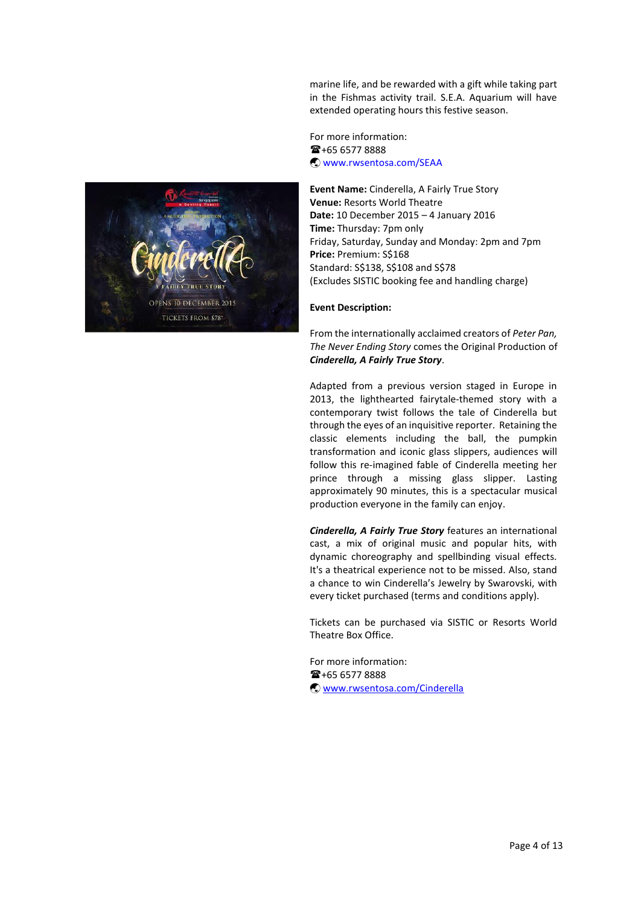marine life, and be rewarded with a gift while taking part in the Fishmas activity trail. S.E.A. Aquarium will have extended operating hours this festive season.

For more information:  $\mathbf{F}$ +65 6577 8888 [www.rwsentosa.com/SEAA](http://www.rwsentosa.com/SEAA)

**Event Name:** Cinderella, A Fairly True Story **Venue:** Resorts World Theatre **Date:** 10 December 2015 – 4 January 2016 **Time:** Thursday: 7pm only Friday, Saturday, Sunday and Monday: 2pm and 7pm **Price:** Premium: S\$168 Standard: S\$138, S\$108 and S\$78 (Excludes SISTIC booking fee and handling charge)

## **Event Description:**

From the internationally acclaimed creators of *Peter Pan, The Never Ending Story* comes the Original Production of *Cinderella, A Fairly True Story*.

Adapted from a previous version staged in Europe in 2013, the lighthearted fairytale-themed story with a contemporary twist follows the tale of Cinderella but through the eyes of an inquisitive reporter. Retaining the classic elements including the ball, the pumpkin transformation and iconic glass slippers, audiences will follow this re-imagined fable of Cinderella meeting her prince through a missing glass slipper. Lasting approximately 90 minutes, this is a spectacular musical production everyone in the family can enjoy.

*Cinderella, A Fairly True Story* features an international cast, a mix of original music and popular hits, with dynamic choreography and spellbinding visual effects. It's a theatrical experience not to be missed. Also, stand a chance to win Cinderella's Jewelry by Swarovski, with every ticket purchased (terms and conditions apply).

Tickets can be purchased via SISTIC or Resorts World Theatre Box Office.

For more information: +65 6577 8888 [www.rwsentosa.com/Cinderella](http://www.rwsentosa.com/Cinderella)

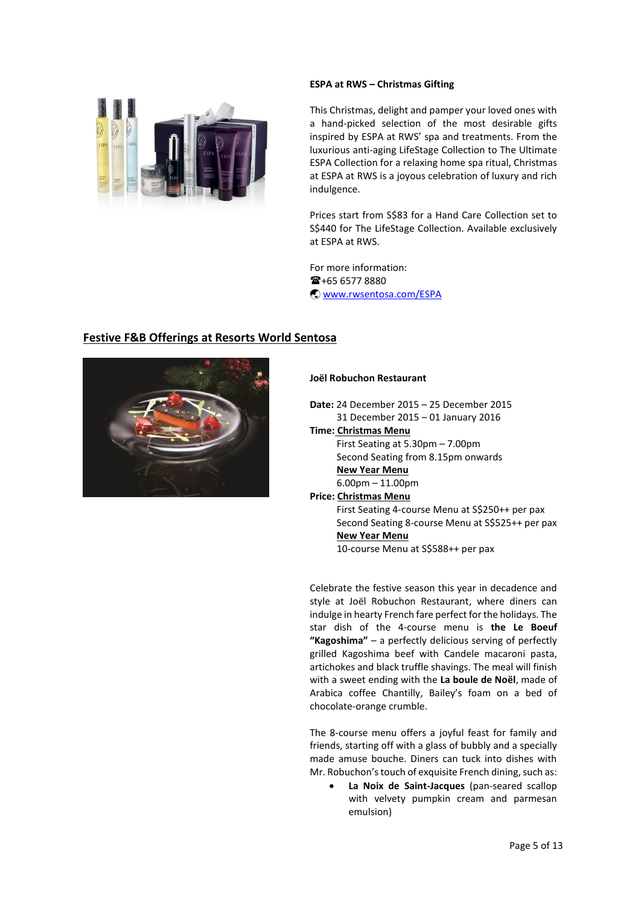## **ESPA at RWS – Christmas Gifting**



This Christmas, delight and pamper your loved ones with a hand-picked selection of the most desirable gifts inspired by ESPA at RWS' spa and treatments. From the luxurious anti-aging LifeStage Collection to The Ultimate ESPA Collection for a relaxing home spa ritual, Christmas at ESPA at RWS is a joyous celebration of luxury and rich indulgence.

Prices start from S\$83 for a Hand Care Collection set to S\$440 for The LifeStage Collection. Available exclusively at ESPA at RWS.

For more information:  $\mathbf{\widehat{m}}$ +65 6577 8880 [www.rwsentosa.com/ESPA](http://www.rwsentosa.com/ESPA)

## **Festive F&B Offerings at Resorts World Sentosa**



## **Joël Robuchon Restaurant**

**Date:** 24 December 2015 – 25 December 2015 31 December 2015 – 01 January 2016

**Time: Christmas Menu** First Seating at 5.30pm – 7.00pm Second Seating from 8.15pm onwards  **New Year Menu** 6.00pm – 11.00pm

**Price: Christmas Menu** First Seating 4-course Menu at S\$250++ per pax Second Seating 8-course Menu at S\$525++ per pax  **New Year Menu** 10-course Menu at S\$588++ per pax

Celebrate the festive season this year in decadence and style at Joël Robuchon Restaurant, where diners can indulge in hearty French fare perfect for the holidays. The star dish of the 4-course menu is **the Le Boeuf "Kagoshima"** – a perfectly delicious serving of perfectly grilled Kagoshima beef with Candele macaroni pasta, artichokes and black truffle shavings. The meal will finish with a sweet ending with the **La boule de Noël**, made of Arabica coffee Chantilly, Bailey's foam on a bed of chocolate-orange crumble.

The 8-course menu offers a joyful feast for family and friends, starting off with a glass of bubbly and a specially made amuse bouche. Diners can tuck into dishes with Mr. Robuchon's touch of exquisite French dining, such as:

 **La Noix de Saint-Jacques** (pan-seared scallop with velvety pumpkin cream and parmesan emulsion)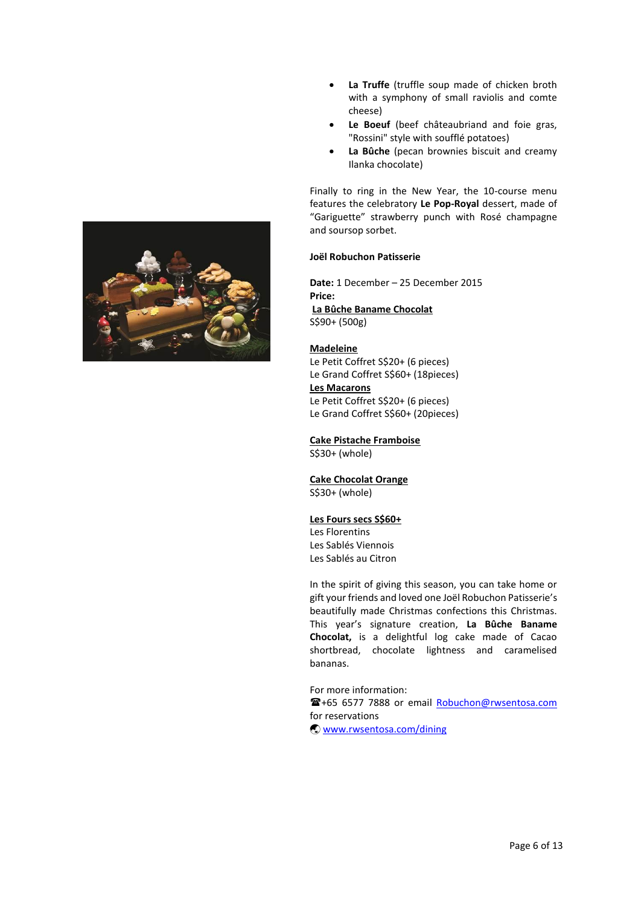

- **La Truffe** (truffle soup made of chicken broth with a symphony of small raviolis and comte cheese)
- **Le Boeuf** (beef châteaubriand and foie gras, "Rossini" style with soufflé potatoes)
- **La Bûche** (pecan brownies biscuit and creamy Ilanka chocolate)

Finally to ring in the New Year, the 10-course menu features the celebratory **Le Pop-Royal** dessert, made of "Gariguette" strawberry punch with Rosé champagne and soursop sorbet.

## **Joël Robuchon Patisserie**

**Date:** 1 December – 25 December 2015 **Price: La Bûche Baname Chocolat** S\$90+ (500g)

### **Madeleine**

Le Petit Coffret S\$20+ (6 pieces) Le Grand Coffret S\$60+ (18pieces) **Les Macarons**  Le Petit Coffret S\$20+ (6 pieces)

Le Grand Coffret S\$60+ (20pieces)

## **Cake Pistache Framboise**

S\$30+ (whole)

## **Cake Chocolat Orange**

S\$30+ (whole)

### **Les Fours secs S\$60+**

Les Florentins Les Sablés Viennois Les Sablés au Citron

In the spirit of giving this season, you can take home or gift your friends and loved one Joël Robuchon Patisserie's beautifully made Christmas confections this Christmas. This year's signature creation, **La Bûche Baname Chocolat,** is a delightful log cake made of Cacao shortbread, chocolate lightness and caramelised bananas.

For more information:

+65 6577 7888 or email [Robuchon@rwsentosa.com](mailto:Robuchon@rwsentosa.com) for reservations

[www.rwsentosa.com/dining](http://www.rwsentosa.com/dining)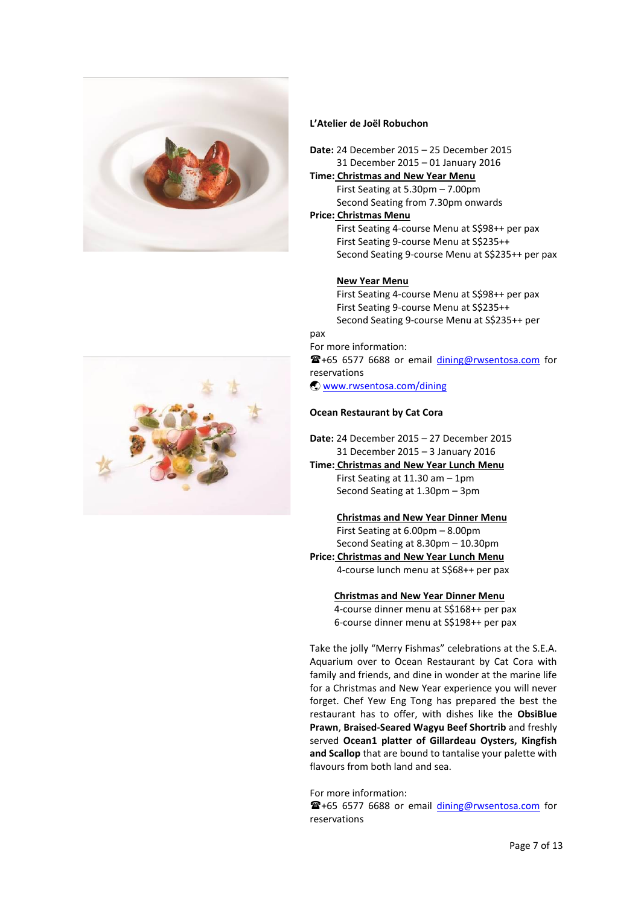

## **L'Atelier de Joël Robuchon**

- **Date:** 24 December 2015 25 December 2015 31 December 2015 – 01 January 2016
- **Time: Christmas and New Year Menu** First Seating at 5.30pm – 7.00pm Second Seating from 7.30pm onwards

## **Price: Christmas Menu**

 First Seating 4-course Menu at S\$98++ per pax First Seating 9-course Menu at S\$235++ Second Seating 9-course Menu at S\$235++ per pax

## **New Year Menu**

 First Seating 4-course Menu at S\$98++ per pax First Seating 9-course Menu at S\$235++ Second Seating 9-course Menu at S\$235++ per

### pax

For more information: +65 6577 6688 or email [dining@rwsentosa.com](mailto:dining@rwsentosa.com) for reservations [www.rwsentosa.com/dining](http://www.rwsentosa.com/dining)

## **Ocean Restaurant by Cat Cora**

**Date:** 24 December 2015 – 27 December 2015 31 December 2015 – 3 January 2016

**Time: Christmas and New Year Lunch Menu** First Seating at 11.30 am – 1pm Second Seating at 1.30pm – 3pm

 **Christmas and New Year Dinner Menu** First Seating at 6.00pm – 8.00pm Second Seating at 8.30pm – 10.30pm **Price: Christmas and New Year Lunch Menu**

 4-course lunch menu at S\$68++ per pax  **Christmas and New Year Dinner Menu**

 4-course dinner menu at S\$168++ per pax 6-course dinner menu at S\$198++ per pax

Take the jolly "Merry Fishmas" celebrations at the S.E.A. Aquarium over to Ocean Restaurant by Cat Cora with family and friends, and dine in wonder at the marine life for a Christmas and New Year experience you will never forget. Chef Yew Eng Tong has prepared the best the restaurant has to offer, with dishes like the **ObsiBlue Prawn**, **Braised-Seared Wagyu Beef Shortrib** and freshly served **Ocean1 platter of Gillardeau Oysters, Kingfish and Scallop** that are bound to tantalise your palette with flavours from both land and sea.

For more information: <sup>2</sup>+65 6577 6688 or email [dining@rwsentosa.com](mailto:dining@rwsentosa.com) for reservations

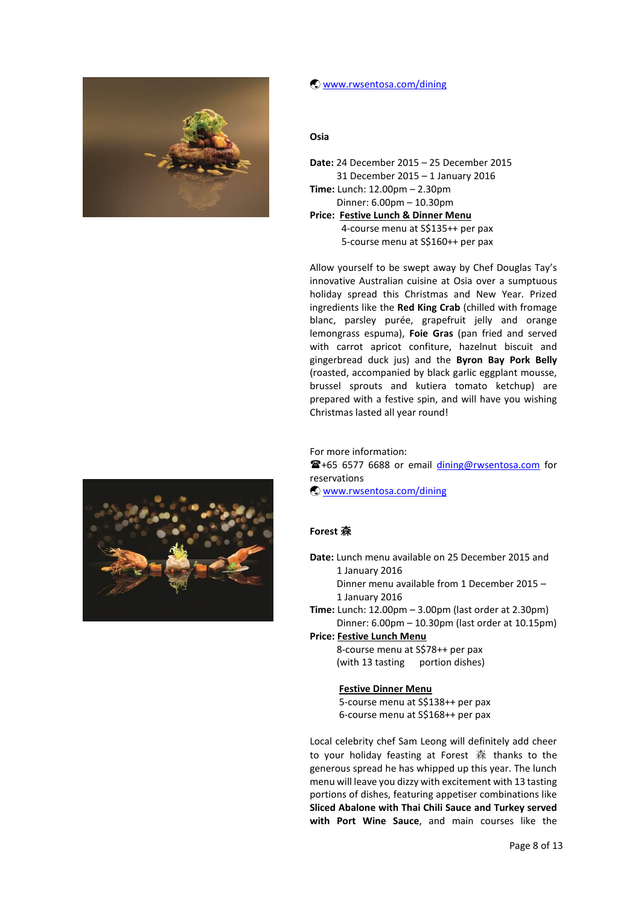

## [www.rwsentosa.com/dining](http://www.rwsentosa.com/dining)

## **Osia**

| <b>Date: 24 December 2015 - 25 December 2015</b> |
|--------------------------------------------------|
| 31 December 2015 - 1 January 2016                |
| Time: Lunch: 12.00pm - 2.30pm                    |
| Dinner: 6.00pm - 10.30pm                         |
| Price: Festive Lunch & Dinner Menu               |
| 4-course menu at S\$135++ per pax                |
| 5-course menu at S\$160++ per pax                |

Allow yourself to be swept away by Chef Douglas Tay's innovative Australian cuisine at Osia over a sumptuous holiday spread this Christmas and New Year. Prized ingredients like the **Red King Crab** (chilled with fromage blanc, parsley purée, grapefruit jelly and orange lemongrass espuma), **Foie Gras** (pan fried and served with carrot apricot confiture, hazelnut biscuit and gingerbread duck jus) and the **Byron Bay Pork Belly** (roasted, accompanied by black garlic eggplant mousse, brussel sprouts and kutiera tomato ketchup) are prepared with a festive spin, and will have you wishing Christmas lasted all year round!

For more information:

<sup>2</sup>+65 6577 6688 or email *[dining@rwsentosa.com](mailto:dining@rwsentosa.com)* for reservations

[www.rwsentosa.com/dining](http://www.rwsentosa.com/dining)

## **Forest** 森

- **Date:** Lunch menu available on 25 December 2015 and 1 January 2016 Dinner menu available from 1 December 2015 – 1 January 2016 **Time:** Lunch: 12.00pm – 3.00pm (last order at 2.30pm) Dinner: 6.00pm – 10.30pm (last order at 10.15pm)
- **Price: Festive Lunch Menu** 8-course menu at S\$78++ per pax (with 13 tasting portion dishes)

## **Festive Dinner Menu**

 5-course menu at S\$138++ per pax 6-course menu at S\$168++ per pax

Local celebrity chef Sam Leong will definitely add cheer to your holiday feasting at Forest 森 thanks to the generous spread he has whipped up this year. The lunch menu will leave you dizzy with excitement with 13 tasting portions of dishes, featuring appetiser combinations like **Sliced Abalone with Thai Chili Sauce and Turkey served with Port Wine Sauce**, and main courses like the

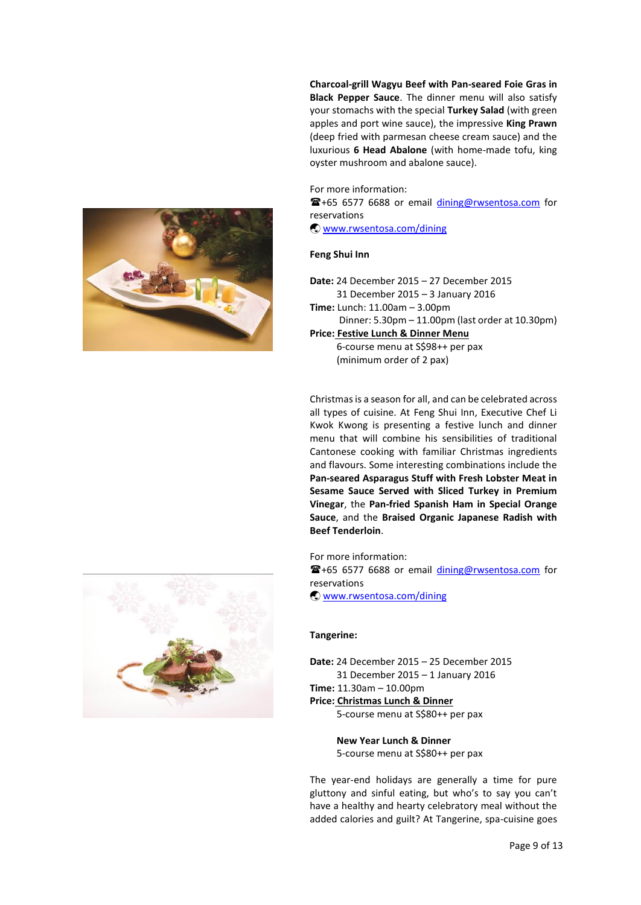**Charcoal-grill Wagyu Beef with Pan-seared Foie Gras in Black Pepper Sauce**. The dinner menu will also satisfy your stomachs with the special **Turkey Salad** (with green apples and port wine sauce), the impressive **King Prawn** (deep fried with parmesan cheese cream sauce) and the luxurious **6 Head Abalone** (with home-made tofu, king oyster mushroom and abalone sauce).

For more information: +65 6577 6688 or email [dining@rwsentosa.com](mailto:dining@rwsentosa.com) for reservations [www.rwsentosa.com/dining](http://www.rwsentosa.com/dining)

## **Feng Shui Inn**

- **Date:** 24 December 2015 27 December 2015 31 December 2015 – 3 January 2016
- **Time:** Lunch: 11.00am 3.00pm Dinner: 5.30pm – 11.00pm (last order at 10.30pm) **Price: Festive Lunch & Dinner Menu**

 6-course menu at S\$98++ per pax (minimum order of 2 pax)

Christmas is a season for all, and can be celebrated across all types of cuisine. At Feng Shui Inn, Executive Chef Li Kwok Kwong is presenting a festive lunch and dinner menu that will combine his sensibilities of traditional Cantonese cooking with familiar Christmas ingredients and flavours. Some interesting combinations include the **Pan-seared Asparagus Stuff with Fresh Lobster Meat in Sesame Sauce Served with Sliced Turkey in Premium Vinegar**, the **Pan-fried Spanish Ham in Special Orange Sauce**, and the **Braised Organic Japanese Radish with Beef Tenderloin**.

For more information:

+65 6577 6688 or email [dining@rwsentosa.com](mailto:dining@rwsentosa.com) for reservations

[www.rwsentosa.com/dining](http://www.rwsentosa.com/dining)

### **Tangerine:**

**Date:** 24 December 2015 – 25 December 2015 31 December 2015 – 1 January 2016 **Time:** 11.30am – 10.00pm **Price: Christmas Lunch & Dinner**

5-course menu at S\$80++ per pax

 **New Year Lunch & Dinner** 5-course menu at S\$80++ per pax

The year-end holidays are generally a time for pure gluttony and sinful eating, but who's to say you can't have a healthy and hearty celebratory meal without the added calories and guilt? At Tangerine, spa-cuisine goes

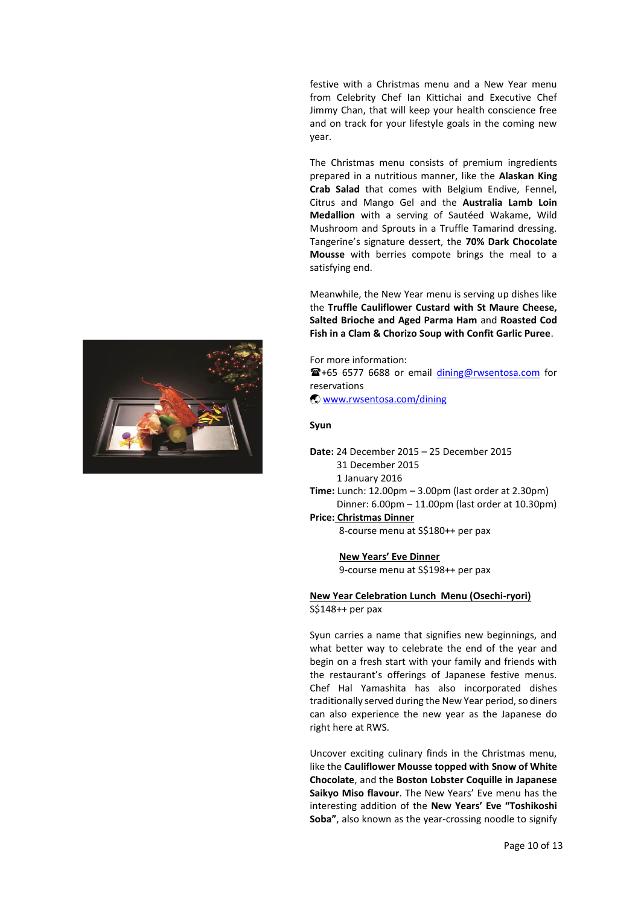festive with a Christmas menu and a New Year menu from Celebrity Chef Ian Kittichai and Executive Chef Jimmy Chan, that will keep your health conscience free and on track for your lifestyle goals in the coming new year.

The Christmas menu consists of premium ingredients prepared in a nutritious manner, like the **Alaskan King Crab Salad** that comes with Belgium Endive, Fennel, Citrus and Mango Gel and the **Australia Lamb Loin Medallion** with a serving of Sautéed Wakame, Wild Mushroom and Sprouts in a Truffle Tamarind dressing. Tangerine's signature dessert, the **70% Dark Chocolate Mousse** with berries compote brings the meal to a satisfying end.

Meanwhile, the New Year menu is serving up dishes like the **Truffle Cauliflower Custard with St Maure Cheese, Salted Brioche and Aged Parma Ham** and **Roasted Cod Fish in a Clam & Chorizo Soup with Confit Garlic Puree**.



#### **Syun**

- **Date:** 24 December 2015 25 December 2015 31 December 2015 1 January 2016 **Time:** Lunch: 12.00pm – 3.00pm (last order at 2.30pm)
- Dinner: 6.00pm 11.00pm (last order at 10.30pm) **Price: Christmas Dinner**

8-course menu at S\$180++ per pax

 **New Years' Eve Dinner**

9-course menu at S\$198++ per pax

**New Year Celebration Lunch Menu (Osechi-ryori)** S\$148++ per pax

Syun carries a name that signifies new beginnings, and what better way to celebrate the end of the year and begin on a fresh start with your family and friends with the restaurant's offerings of Japanese festive menus. Chef Hal Yamashita has also incorporated dishes traditionally served during the New Year period, so diners can also experience the new year as the Japanese do right here at RWS.

Uncover exciting culinary finds in the Christmas menu, like the **Cauliflower Mousse topped with Snow of White Chocolate**, and the **Boston Lobster Coquille in Japanese Saikyo Miso flavour**. The New Years' Eve menu has the interesting addition of the **New Years' Eve "Toshikoshi Soba"**, also known as the year-crossing noodle to signify

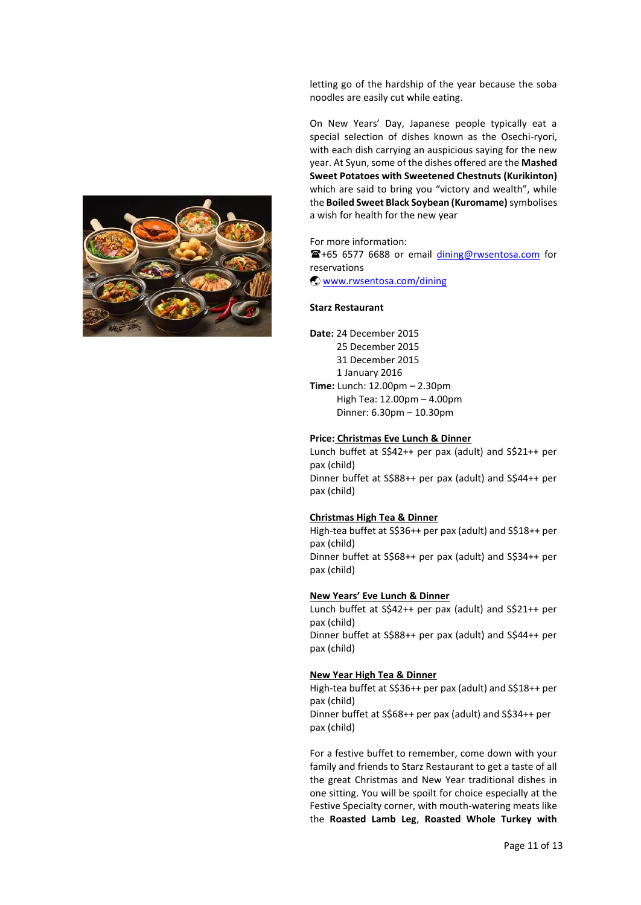letting go of the hardship of the year because the soba noodles are easily cut while eating.

On New Years' Day, Japanese people typically eat a special selection of dishes known as the Osechi-ryori, with each dish carrying an auspicious saying for the new year. At Syun, some of the dishes offered are the **Mashed Sweet Potatoes with Sweetened Chestnuts (Kurikinton)**  which are said to bring you "victory and wealth", while the **Boiled Sweet Black Soybean (Kuromame)**symbolises a wish for health for the new year

For more information: +65 6577 6688 or email [dining@rwsentosa.com](mailto:dining@rwsentosa.com) for reservations [www.rwsentosa.com/dining](http://www.rwsentosa.com/dining)

## **Starz Restaurant**

**Date:** 24 December 2015 25 December 2015 31 December 2015 1 January 2016 **Time:** Lunch: 12.00pm – 2.30pm High Tea: 12.00pm – 4.00pm Dinner: 6.30pm – 10.30pm

### **Price: Christmas Eve Lunch & Dinner**

Lunch buffet at S\$42++ per pax (adult) and S\$21++ per pax (child) Dinner buffet at S\$88++ per pax (adult) and S\$44++ per pax (child)

### **Christmas High Tea & Dinner**

High-tea buffet at S\$36++ per pax (adult) and S\$18++ per pax (child) Dinner buffet at S\$68++ per pax (adult) and S\$34++ per pax (child)

### **New Years' Eve Lunch & Dinner**

Lunch buffet at S\$42++ per pax (adult) and S\$21++ per pax (child) Dinner buffet at S\$88++ per pax (adult) and S\$44++ per pax (child)

### **New Year High Tea & Dinner**

High-tea buffet at S\$36++ per pax (adult) and S\$18++ per pax (child) Dinner buffet at S\$68++ per pax (adult) and S\$34++ per pax (child)

For a festive buffet to remember, come down with your family and friends to Starz Restaurant to get a taste of all the great Christmas and New Year traditional dishes in one sitting. You will be spoilt for choice especially at the Festive Specialty corner, with mouth-watering meats like the **Roasted Lamb Leg**, **Roasted Whole Turkey with** 

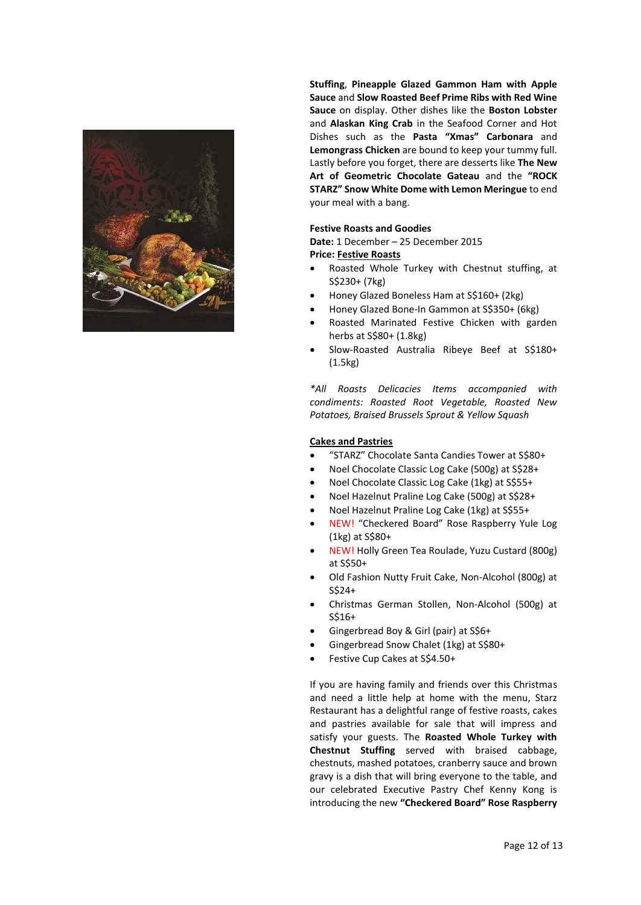

**Stuffing**, **Pineapple Glazed Gammon Ham with Apple Sauce** and **Slow Roasted Beef Prime Ribs with Red Wine Sauce** on display. Other dishes like the **Boston Lobster** and **Alaskan King Crab** in the Seafood Corner and Hot Dishes such as the **Pasta "Xmas" Carbonara** and **Lemongrass Chicken** are bound to keep your tummy full. Lastly before you forget, there are desserts like **The New Art of Geometric Chocolate Gateau** and the **"ROCK STARZ" Snow White Dome with Lemon Meringue** to end your meal with a bang.

## **Festive Roasts and Goodies**

**Date:** 1 December – 25 December 2015 **Price: Festive Roasts** 

- Roasted Whole Turkey with Chestnut stuffing, at S\$230+ (7kg)
- Honey Glazed Boneless Ham at S\$160+ (2kg)
- Honey Glazed Bone-In Gammon at S\$350+ (6kg)
- Roasted Marinated Festive Chicken with garden herbs at S\$80+ (1.8kg)
- Slow-Roasted Australia Ribeye Beef at S\$180+ (1.5kg)

*\*All Roasts Delicacies Items accompanied with condiments: Roasted Root Vegetable, Roasted New Potatoes, Braised Brussels Sprout & Yellow Squash*

## **Cakes and Pastries**

- "STARZ" Chocolate Santa Candies Tower at S\$80+
- Noel Chocolate Classic Log Cake (500g) at S\$28+
- Noel Chocolate Classic Log Cake (1kg) at S\$55+
- Noel Hazelnut Praline Log Cake (500g) at S\$28+
- Noel Hazelnut Praline Log Cake (1kg) at S\$55+
- NEW! "Checkered Board" Rose Raspberry Yule Log (1kg) at S\$80+
- NEW! Holly Green Tea Roulade, Yuzu Custard (800g) at S\$50+
- Old Fashion Nutty Fruit Cake, Non-Alcohol (800g) at S\$24+
- Christmas German Stollen, Non-Alcohol (500g) at S\$16+
- Gingerbread Boy & Girl (pair) at S\$6+
- Gingerbread Snow Chalet (1kg) at S\$80+
- Festive Cup Cakes at S\$4.50+

If you are having family and friends over this Christmas and need a little help at home with the menu, Starz Restaurant has a delightful range of festive roasts, cakes and pastries available for sale that will impress and satisfy your guests. The **Roasted Whole Turkey with Chestnut Stuffing** served with braised cabbage, chestnuts, mashed potatoes, cranberry sauce and brown gravy is a dish that will bring everyone to the table, and our celebrated Executive Pastry Chef Kenny Kong is introducing the new **"Checkered Board" Rose Raspberry**